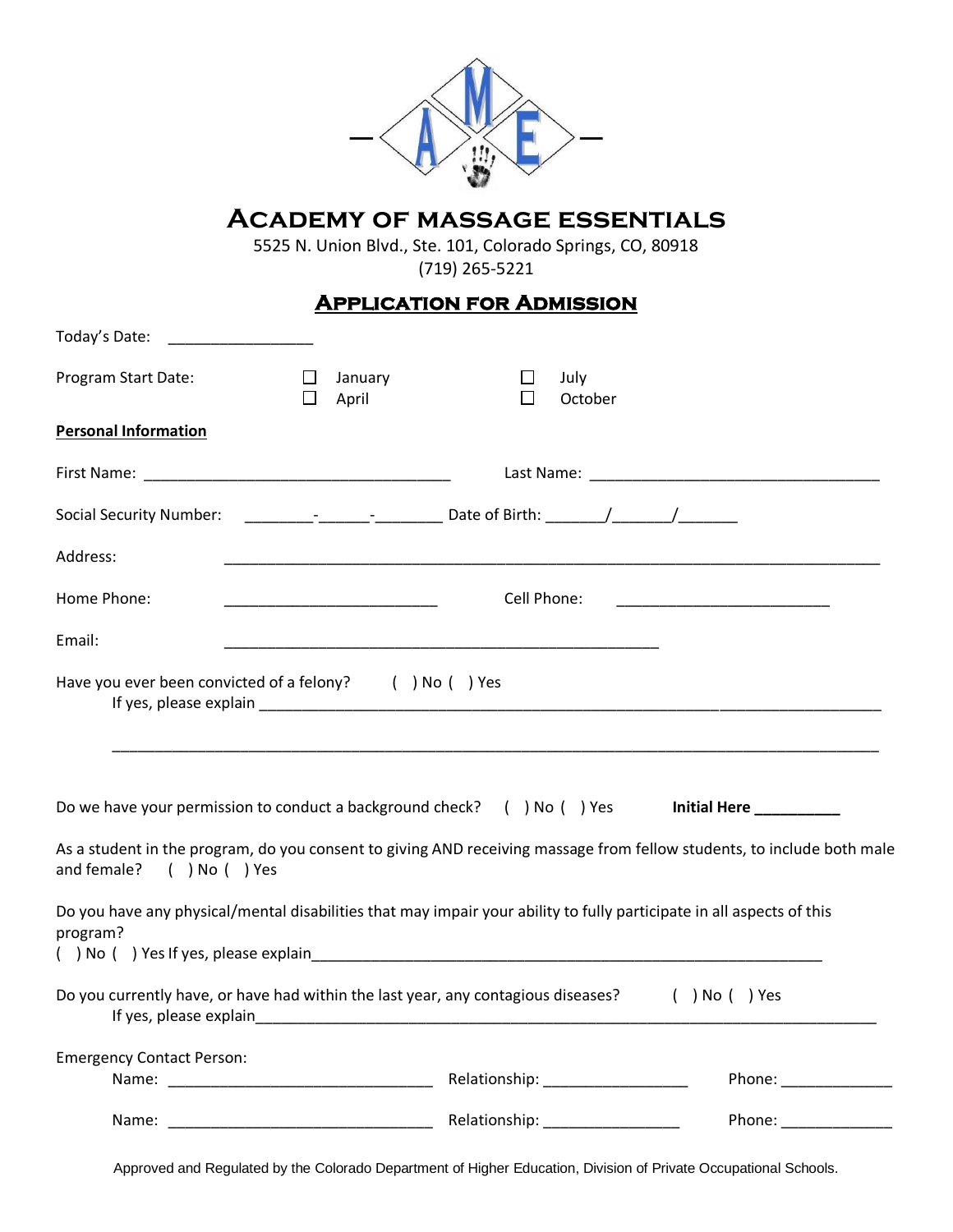| <b>ACADEMY OF MASSAGE ESSENTIALS</b><br>5525 N. Union Blvd., Ste. 101, Colorado Springs, CO, 80918<br>$(719)$ 265-5221                                                                                                                                                                  |                       |  |                 |                                                                                                                                                                                                                                                         |  |  |  |
|-----------------------------------------------------------------------------------------------------------------------------------------------------------------------------------------------------------------------------------------------------------------------------------------|-----------------------|--|-----------------|---------------------------------------------------------------------------------------------------------------------------------------------------------------------------------------------------------------------------------------------------------|--|--|--|
| <b>APPLICATION FOR ADMISSION</b>                                                                                                                                                                                                                                                        |                       |  |                 |                                                                                                                                                                                                                                                         |  |  |  |
| Today's Date:                                                                                                                                                                                                                                                                           |                       |  |                 |                                                                                                                                                                                                                                                         |  |  |  |
| Program Start Date:                                                                                                                                                                                                                                                                     | January<br>ப<br>April |  | July<br>October |                                                                                                                                                                                                                                                         |  |  |  |
| <b>Personal Information</b>                                                                                                                                                                                                                                                             |                       |  |                 |                                                                                                                                                                                                                                                         |  |  |  |
|                                                                                                                                                                                                                                                                                         |                       |  |                 | Last Name: Name and Separate and Separate and Separate and Separate and Separate and Separate and Separate and                                                                                                                                          |  |  |  |
| Social Security Number: __________________________________Date of Birth: ________/__________________                                                                                                                                                                                    |                       |  |                 |                                                                                                                                                                                                                                                         |  |  |  |
| Address:                                                                                                                                                                                                                                                                                |                       |  |                 |                                                                                                                                                                                                                                                         |  |  |  |
| Home Phone:                                                                                                                                                                                                                                                                             | Cell Phone:           |  |                 |                                                                                                                                                                                                                                                         |  |  |  |
| Email:                                                                                                                                                                                                                                                                                  |                       |  |                 |                                                                                                                                                                                                                                                         |  |  |  |
| Have you ever been convicted of a felony? () No () Yes<br>If yes, please explain and the state of the state of the state of the state of the state of the state of the state of the state of the state of the state of the state of the state of the state of the state of the state of |                       |  |                 |                                                                                                                                                                                                                                                         |  |  |  |
| Do we have your permission to conduct a background check? () No () Yes<br>Initial Here ___________                                                                                                                                                                                      |                       |  |                 |                                                                                                                                                                                                                                                         |  |  |  |
| and female? ( ) No ( ) Yes                                                                                                                                                                                                                                                              |                       |  |                 | As a student in the program, do you consent to giving AND receiving massage from fellow students, to include both male                                                                                                                                  |  |  |  |
| Do you have any physical/mental disabilities that may impair your ability to fully participate in all aspects of this<br>program?                                                                                                                                                       |                       |  |                 |                                                                                                                                                                                                                                                         |  |  |  |
| Do you currently have, or have had within the last year, any contagious diseases?                                                                                                                                                                                                       |                       |  |                 | ( ) No ( ) Yes                                                                                                                                                                                                                                          |  |  |  |
| <b>Emergency Contact Person:</b>                                                                                                                                                                                                                                                        |                       |  |                 |                                                                                                                                                                                                                                                         |  |  |  |
|                                                                                                                                                                                                                                                                                         |                       |  |                 | Phone: _______________<br>Phone: National Phone: National Phone: National Phone Phone Phone Phone Phone Phone Phone Phone Phone Phone Phone Phone Phone Phone Phone Phone Phone Phone Phone Phone Phone Phone Phone Phone Phone Phone Phone Phone Phone |  |  |  |
|                                                                                                                                                                                                                                                                                         |                       |  |                 |                                                                                                                                                                                                                                                         |  |  |  |

Approved and Regulated by the Colorado Department of Higher Education, Division of Private Occupational Schools.